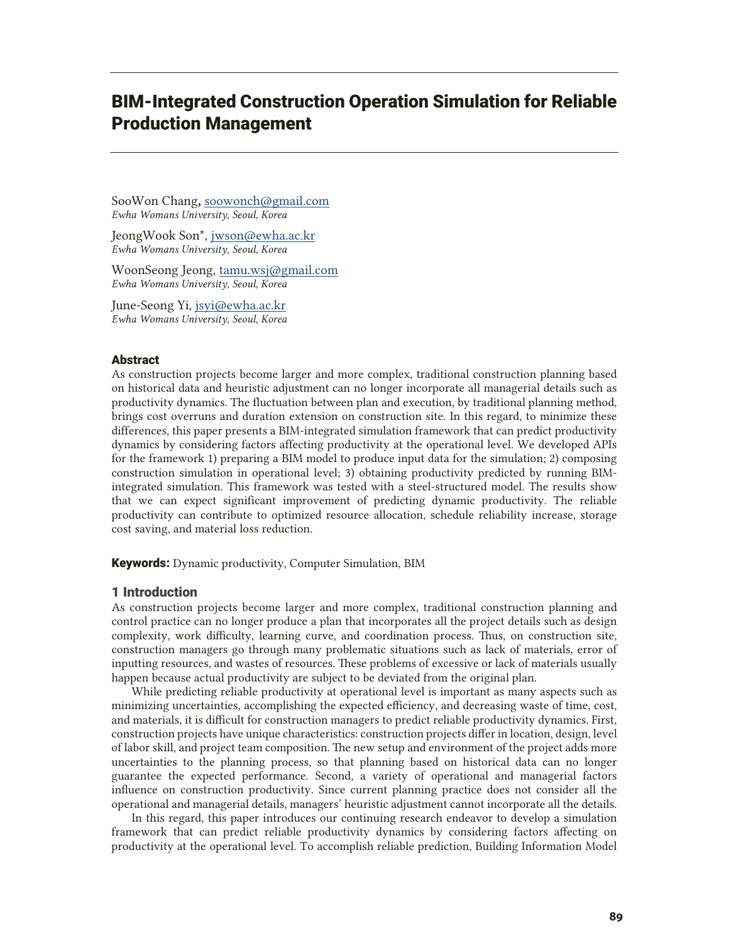# BIM-Integrated Construction Operation Simulation for Reliable Production Management

SooWon Chang**,** soowonch@gmail.com *Ewha Womans University, Seoul, Korea* 

JeongWook Son\*, jwson@ewha.ac.kr *Ewha Womans University, Seoul, Korea* 

WoonSeong Jeong, tamu.wsj@gmail.com *Ewha Womans University, Seoul, Korea* 

June-Seong Yi, jsyi@ewha.ac.kr *Ewha Womans University, Seoul, Korea* 

#### Abstract

As construction projects become larger and more complex, traditional construction planning based on historical data and heuristic adjustment can no longer incorporate all managerial details such as productivity dynamics. The fluctuation between plan and execution, by traditional planning method, brings cost overruns and duration extension on construction site. In this regard, to minimize these differences, this paper presents a BIM-integrated simulation framework that can predict productivity dynamics by considering factors affecting productivity at the operational level. We developed APIs for the framework 1) preparing a BIM model to produce input data for the simulation; 2) composing construction simulation in operational level; 3) obtaining productivity predicted by running BIMintegrated simulation. This framework was tested with a steel-structured model. The results show that we can expect significant improvement of predicting dynamic productivity. The reliable productivity can contribute to optimized resource allocation, schedule reliability increase, storage cost saving, and material loss reduction.

**Keywords:** Dynamic productivity, Computer Simulation, BIM

## 1 Introduction

As construction projects become larger and more complex, traditional construction planning and control practice can no longer produce a plan that incorporates all the project details such as design complexity, work difficulty, learning curve, and coordination process. Thus, on construction site, construction managers go through many problematic situations such as lack of materials, error of inputting resources, and wastes of resources. These problems of excessive or lack of materials usually happen because actual productivity are subject to be deviated from the original plan.

While predicting reliable productivity at operational level is important as many aspects such as minimizing uncertainties, accomplishing the expected efficiency, and decreasing waste of time, cost, and materials, it is difficult for construction managers to predict reliable productivity dynamics. First, construction projects have unique characteristics: construction projects differ in location, design, level of labor skill, and project team composition. The new setup and environment of the project adds more uncertainties to the planning process, so that planning based on historical data can no longer guarantee the expected performance. Second, a variety of operational and managerial factors influence on construction productivity. Since current planning practice does not consider all the operational and managerial details, managers' heuristic adjustment cannot incorporate all the details.

 In this regard, this paper introduces our continuing research endeavor to develop a simulation framework that can predict reliable productivity dynamics by considering factors affecting on productivity at the operational level. To accomplish reliable prediction, Building Information Model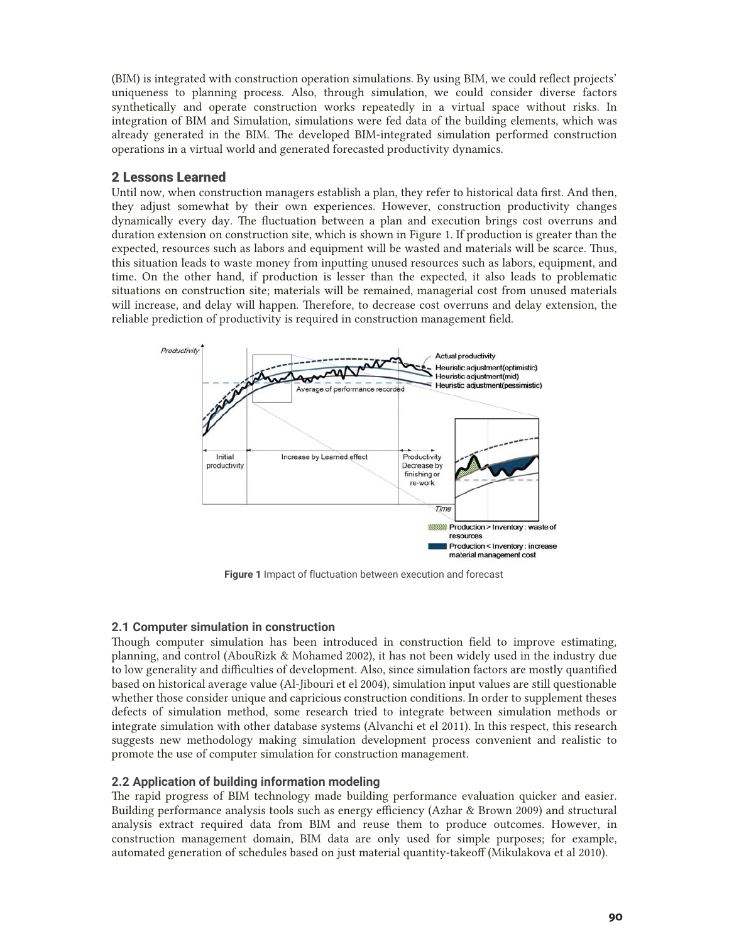(BIM) is integrated with construction operation simulations. By using BIM, we could reflect projects' uniqueness to planning process. Also, through simulation, we could consider diverse factors synthetically and operate construction works repeatedly in a virtual space without risks. In integration of BIM and Simulation, simulations were fed data of the building elements, which was already generated in the BIM. The developed BIM-integrated simulation performed construction operations in a virtual world and generated forecasted productivity dynamics.

## 2 Lessons Learned

Until now, when construction managers establish a plan, they refer to historical data first. And then, they adjust somewhat by their own experiences. However, construction productivity changes dynamically every day. The fluctuation between a plan and execution brings cost overruns and duration extension on construction site, which is shown in Figure 1. If production is greater than the expected, resources such as labors and equipment will be wasted and materials will be scarce. Thus, this situation leads to waste money from inputting unused resources such as labors, equipment, and time. On the other hand, if production is lesser than the expected, it also leads to problematic situations on construction site; materials will be remained, managerial cost from unused materials will increase, and delay will happen. Therefore, to decrease cost overruns and delay extension, the reliable prediction of productivity is required in construction management field.



**Figure 1** Impact of fluctuation between execution and forecast

## **2.1 Computer simulation in construction**

Though computer simulation has been introduced in construction field to improve estimating, planning, and control (AbouRizk & Mohamed 2002), it has not been widely used in the industry due to low generality and difficulties of development. Also, since simulation factors are mostly quantified based on historical average value (Al-Jibouri et el 2004), simulation input values are still questionable whether those consider unique and capricious construction conditions. In order to supplement theses defects of simulation method, some research tried to integrate between simulation methods or integrate simulation with other database systems (Alvanchi et el 2011). In this respect, this research suggests new methodology making simulation development process convenient and realistic to promote the use of computer simulation for construction management.

## **2.2 Application of building information modeling**

The rapid progress of BIM technology made building performance evaluation quicker and easier. Building performance analysis tools such as energy efficiency (Azhar & Brown 2009) and structural analysis extract required data from BIM and reuse them to produce outcomes. However, in construction management domain, BIM data are only used for simple purposes; for example, automated generation of schedules based on just material quantity-takeoff (Mikulakova et al 2010).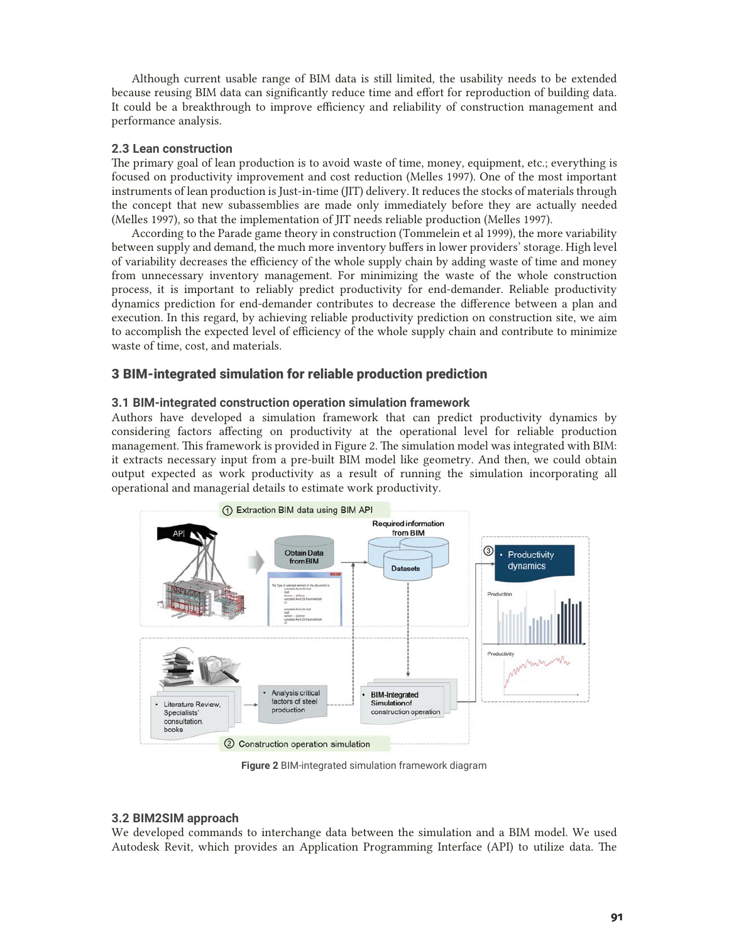Although current usable range of BIM data is still limited, the usability needs to be extended because reusing BIM data can significantly reduce time and effort for reproduction of building data. It could be a breakthrough to improve efficiency and reliability of construction management and performance analysis.

## **2.3 Lean construction**

The primary goal of lean production is to avoid waste of time, money, equipment, etc.; everything is focused on productivity improvement and cost reduction (Melles 1997). One of the most important instruments of lean production is Just-in-time (JIT) delivery. It reduces the stocks of materials through the concept that new subassemblies are made only immediately before they are actually needed (Melles 1997), so that the implementation of JIT needs reliable production (Melles 1997).

According to the Parade game theory in construction (Tommelein et al 1999), the more variability between supply and demand, the much more inventory buffers in lower providers' storage. High level of variability decreases the efficiency of the whole supply chain by adding waste of time and money from unnecessary inventory management. For minimizing the waste of the whole construction process, it is important to reliably predict productivity for end-demander. Reliable productivity dynamics prediction for end-demander contributes to decrease the difference between a plan and execution. In this regard, by achieving reliable productivity prediction on construction site, we aim to accomplish the expected level of efficiency of the whole supply chain and contribute to minimize waste of time, cost, and materials.

# 3 BIM-integrated simulation for reliable production prediction

## **3.1 BIM-integrated construction operation simulation framework**

Authors have developed a simulation framework that can predict productivity dynamics by considering factors affecting on productivity at the operational level for reliable production management. This framework is provided in Figure 2. The simulation model was integrated with BIM: it extracts necessary input from a pre-built BIM model like geometry. And then, we could obtain output expected as work productivity as a result of running the simulation incorporating all operational and managerial details to estimate work productivity.



**Figure 2** BIM-integrated simulation framework diagram

## **3.2 BIM2SIM approach**

We developed commands to interchange data between the simulation and a BIM model. We used Autodesk Revit, which provides an Application Programming Interface (API) to utilize data. The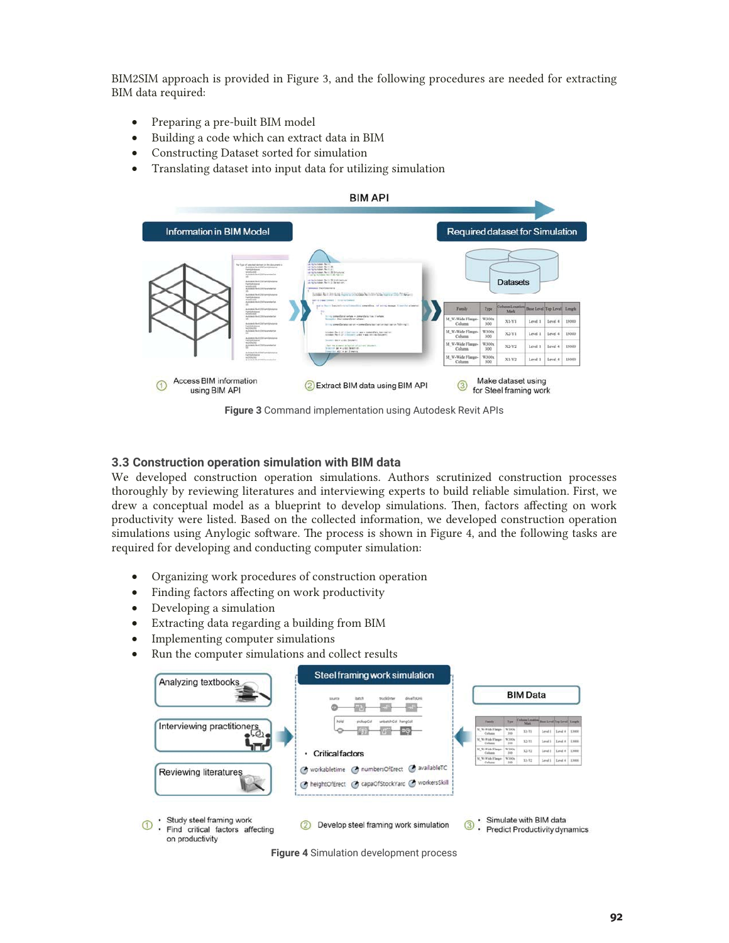BIM2SIM approach is provided in Figure 3, and the following procedures are needed for extracting BIM data required:

- Preparing a pre-built BIM model
- Building a code which can extract data in BIM
- Constructing Dataset sorted for simulation
- Translating dataset into input data for utilizing simulation



**Figure 3** Command implementation using Autodesk Revit APIs

## **3.3 Construction operation simulation with BIM data**

We developed construction operation simulations. Authors scrutinized construction processes thoroughly by reviewing literatures and interviewing experts to build reliable simulation. First, we drew a conceptual model as a blueprint to develop simulations. Then, factors affecting on work productivity were listed. Based on the collected information, we developed construction operation simulations using Anylogic software. The process is shown in Figure 4, and the following tasks are required for developing and conducting computer simulation:

- Organizing work procedures of construction operation
- Finding factors affecting on work productivity
- Developing a simulation
- Extracting data regarding a building from BIM
- Implementing computer simulations
- Run the computer simulations and collect results



**Figure 4** Simulation development process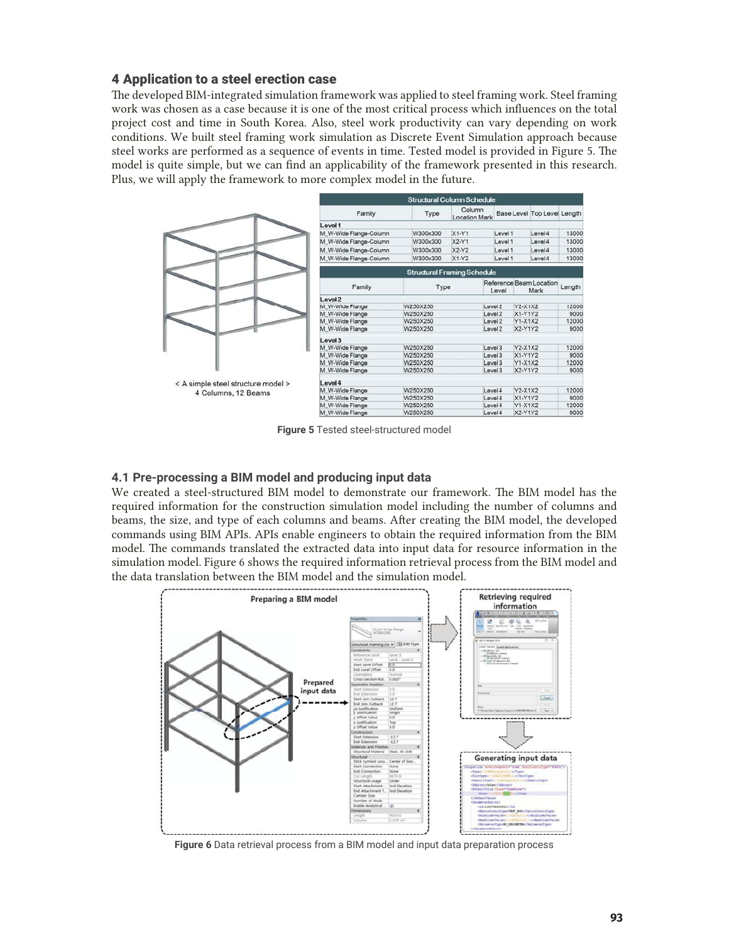# 4 Application to a steel erection case

The developed BIM-integrated simulation framework was applied to steel framing work. Steel framing work was chosen as a case because it is one of the most critical process which influences on the total project cost and time in South Korea. Also, steel work productivity can vary depending on work conditions. We built steel framing work simulation as Discrete Event Simulation approach because steel works are performed as a sequence of events in time. Tested model is provided in Figure 5. The model is quite simple, but we can find an applicability of the framework presented in this research. Plus, we will apply the framework to more complex model in the future.



**Figure 5** Tested steel-structured model

## **4.1 Pre-processing a BIM model and producing input data**

We created a steel-structured BIM model to demonstrate our framework. The BIM model has the required information for the construction simulation model including the number of columns and beams, the size, and type of each columns and beams. After creating the BIM model, the developed commands using BIM APIs. APIs enable engineers to obtain the required information from the BIM model. The commands translated the extracted data into input data for resource information in the simulation model. Figure 6 shows the required information retrieval process from the BIM model and the data translation between the BIM model and the simulation model.



**Figure 6** Data retrieval process from a BIM model and input data preparation process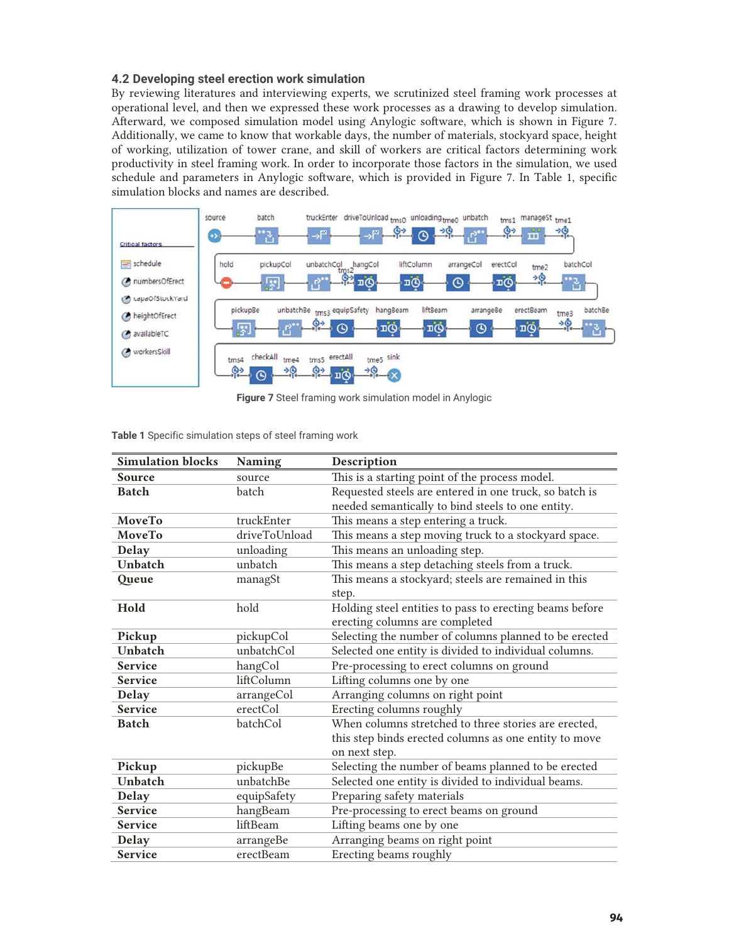## **4.2 Developing steel erection work simulation**

By reviewing literatures and interviewing experts, we scrutinized steel framing work processes at operational level, and then we expressed these work processes as a drawing to develop simulation. Afterward, we composed simulation model using Anylogic software, which is shown in Figure 7. Additionally, we came to know that workable days, the number of materials, stockyard space, height of working, utilization of tower crane, and skill of workers are critical factors determining work productivity in steel framing work. In order to incorporate those factors in the simulation, we used schedule and parameters in Anylogic software, which is provided in Figure 7. In Table 1, specific simulation blocks and names are described.



**Figure 7** Steel framing work simulation model in Anylogic

| <b>Simulation blocks</b> | <b>Naming</b> | Description                                             |
|--------------------------|---------------|---------------------------------------------------------|
| Source                   | source        | This is a starting point of the process model.          |
| <b>Batch</b>             | batch         | Requested steels are entered in one truck, so batch is  |
|                          |               | needed semantically to bind steels to one entity.       |
| MoveTo                   | truckEnter    | This means a step entering a truck.                     |
| MoveTo                   | driveToUnload | This means a step moving truck to a stockyard space.    |
| <b>Delay</b>             | unloading     | This means an unloading step.                           |
| Unbatch                  | unbatch       | This means a step detaching steels from a truck.        |
| Queue                    | managSt       | This means a stockyard; steels are remained in this     |
|                          |               | step.                                                   |
| Hold                     | hold          | Holding steel entities to pass to erecting beams before |
|                          |               | erecting columns are completed                          |
| Pickup                   | pickupCol     | Selecting the number of columns planned to be erected   |
| Unbatch                  | unbatchCol    | Selected one entity is divided to individual columns.   |
| <b>Service</b>           | hangCol       | Pre-processing to erect columns on ground               |
| <b>Service</b>           | liftColumn    | Lifting columns one by one                              |
| <b>Delay</b>             | arrangeCol    | Arranging columns on right point                        |
| <b>Service</b>           | erectCol      | Erecting columns roughly                                |
| <b>Batch</b>             | batchCol      | When columns stretched to three stories are erected,    |
|                          |               | this step binds erected columns as one entity to move   |
|                          |               | on next step.                                           |
| Pickup                   | pickupBe      | Selecting the number of beams planned to be erected     |
| <b>Unbatch</b>           | unbatchBe     | Selected one entity is divided to individual beams.     |
| <b>Delay</b>             | equipSafety   | Preparing safety materials                              |
| <b>Service</b>           | hangBeam      | Pre-processing to erect beams on ground                 |
| <b>Service</b>           | liftBeam      | Lifting beams one by one                                |
| <b>Delay</b>             | arrangeBe     | Arranging beams on right point                          |
| <b>Service</b>           | erectBeam     | Erecting beams roughly                                  |

**Table 1** Specific simulation steps of steel framing work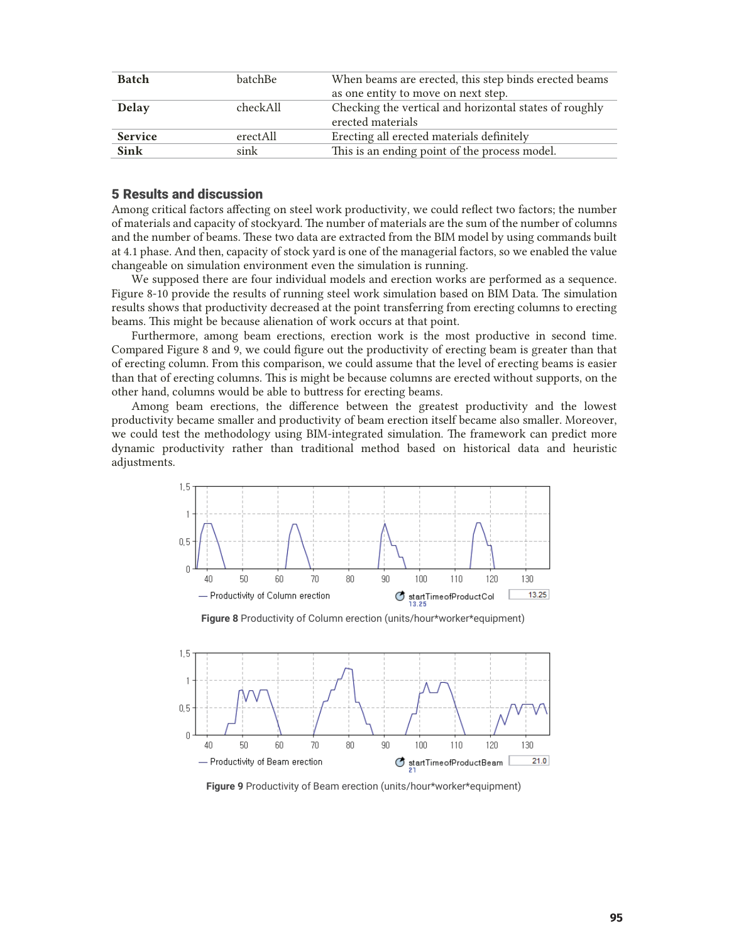| <b>Batch</b>   | batchBe   | When beams are erected, this step binds erected beams  |
|----------------|-----------|--------------------------------------------------------|
|                |           | as one entity to move on next step.                    |
| Delay          | check All | Checking the vertical and horizontal states of roughly |
|                |           | erected materials                                      |
| <b>Service</b> | erectAll  | Erecting all erected materials definitely              |
| <b>Sink</b>    | sink      | This is an ending point of the process model.          |

## 5 Results and discussion

Among critical factors affecting on steel work productivity, we could reflect two factors; the number of materials and capacity of stockyard. The number of materials are the sum of the number of columns and the number of beams. These two data are extracted from the BIM model by using commands built at 4.1 phase. And then, capacity of stock yard is one of the managerial factors, so we enabled the value changeable on simulation environment even the simulation is running.

We supposed there are four individual models and erection works are performed as a sequence. Figure 8-10 provide the results of running steel work simulation based on BIM Data. The simulation results shows that productivity decreased at the point transferring from erecting columns to erecting beams. This might be because alienation of work occurs at that point.

 Furthermore, among beam erections, erection work is the most productive in second time. Compared Figure 8 and 9, we could figure out the productivity of erecting beam is greater than that of erecting column. From this comparison, we could assume that the level of erecting beams is easier than that of erecting columns. This is might be because columns are erected without supports, on the other hand, columns would be able to buttress for erecting beams.

Among beam erections, the difference between the greatest productivity and the lowest productivity became smaller and productivity of beam erection itself became also smaller. Moreover, we could test the methodology using BIM-integrated simulation. The framework can predict more dynamic productivity rather than traditional method based on historical data and heuristic adjustments.



**Figure 8** Productivity of Column erection (units/hour\*worker\*equipment)



**Figure 9** Productivity of Beam erection (units/hour\*worker\*equipment)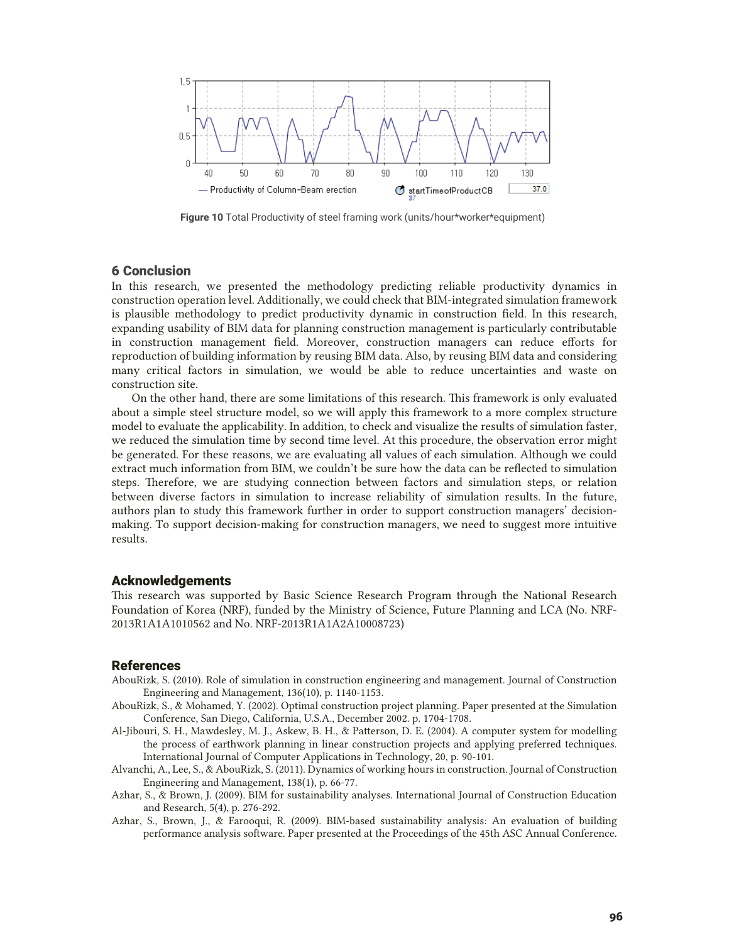

**Figure 10** Total Productivity of steel framing work (units/hour\*worker\*equipment)

## 6 Conclusion

In this research, we presented the methodology predicting reliable productivity dynamics in construction operation level. Additionally, we could check that BIM-integrated simulation framework is plausible methodology to predict productivity dynamic in construction field. In this research, expanding usability of BIM data for planning construction management is particularly contributable in construction management field. Moreover, construction managers can reduce efforts for reproduction of building information by reusing BIM data. Also, by reusing BIM data and considering many critical factors in simulation, we would be able to reduce uncertainties and waste on construction site.

 On the other hand, there are some limitations of this research. This framework is only evaluated about a simple steel structure model, so we will apply this framework to a more complex structure model to evaluate the applicability. In addition, to check and visualize the results of simulation faster, we reduced the simulation time by second time level. At this procedure, the observation error might be generated. For these reasons, we are evaluating all values of each simulation. Although we could extract much information from BIM, we couldn't be sure how the data can be reflected to simulation steps. Therefore, we are studying connection between factors and simulation steps, or relation between diverse factors in simulation to increase reliability of simulation results. In the future, authors plan to study this framework further in order to support construction managers' decisionmaking. To support decision-making for construction managers, we need to suggest more intuitive results.

#### Acknowledgements

This research was supported by Basic Science Research Program through the National Research Foundation of Korea (NRF), funded by the Ministry of Science, Future Planning and LCA (No. NRF-2013R1A1A1010562 and No. NRF-2013R1A1A2A10008723)

#### References

- AbouRizk, S. (2010). Role of simulation in construction engineering and management. Journal of Construction Engineering and Management, 136(10), p. 1140-1153.
- AbouRizk, S., & Mohamed, Y. (2002). Optimal construction project planning. Paper presented at the Simulation Conference, San Diego, California, U.S.A., December 2002. p. 1704-1708.
- Al-Jibouri, S. H., Mawdesley, M. J., Askew, B. H., & Patterson, D. E. (2004). A computer system for modelling the process of earthwork planning in linear construction projects and applying preferred techniques. International Journal of Computer Applications in Technology, 20, p. 90-101.
- Alvanchi, A., Lee, S., & AbouRizk, S. (2011). Dynamics of working hours in construction. Journal of Construction Engineering and Management, 138(1), p. 66-77.
- Azhar, S., & Brown, J. (2009). BIM for sustainability analyses. International Journal of Construction Education and Research, 5(4), p. 276-292.
- Azhar, S., Brown, J., & Farooqui, R. (2009). BIM-based sustainability analysis: An evaluation of building performance analysis software. Paper presented at the Proceedings of the 45th ASC Annual Conference.